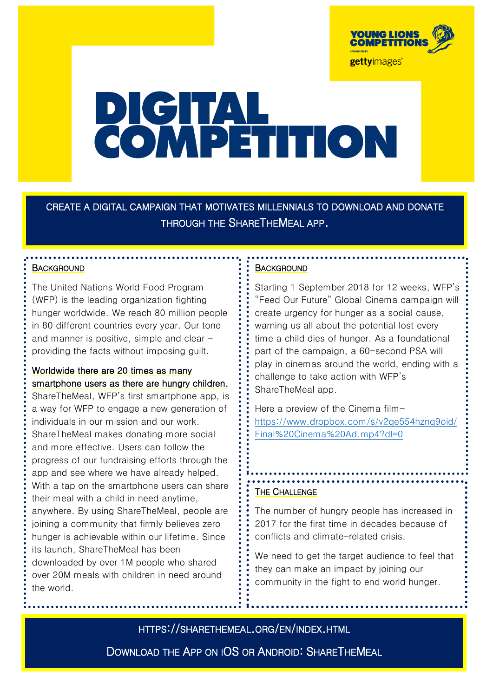

# **PICITAL**<br>COMPETITION

CREATE A DIGITAL CAMPAIGN THAT MOTIVATES MILLENNIALS TO DOWNLOAD AND DONATE THROUGH THE SHARETHEMEAL APP.

## **BACKGROUND**

The United Nations World Food Program (WFP) is the leading organization fighting hunger worldwide. We reach 80 million people in 80 different countries every year. Our tone and manner is positive, simple and clear providing the facts without imposing guilt.

# Worldwide there are 20 times as many smartphone users as there are hungry children.

ShareTheMeal, WFP's first smartphone app, is a way for WFP to engage a new generation of individuals in our mission and our work. ShareTheMeal makes donating more social and more effective. Users can follow the progress of our fundraising efforts through the app and see where we have already helped. With a tap on the smartphone users can share their meal with a child in need anytime, anywhere. By using ShareTheMeal, people are joining a community that firmly believes zero hunger is achievable within our lifetime. Since its launch, ShareTheMeal has been downloaded by over 1M people who shared

over 20M meals with children in need around the world.

## **BACKGROUND**

Starting 1 September 2018 for 12 weeks, WFP's "Feed Our Future" Global Cinema campaign will create urgency for hunger as a social cause, warning us all about the potential lost every time a child dies of hunger. As a foundational part of the campaign, a 60-second PSA will play in cinemas around the world, ending with a challenge to take action with WFP's ShareTheMeal app.

Here a preview of the Cinema film[https://www.dropbox.com/s/v2qe554hznq9oid/](https://www.dropbox.com/s/v2qe554hznq9oid/Final%20Cinema%20Ad.mp4?dl=0) [Final%20Cinema%20Ad.mp4?dl=0](https://www.dropbox.com/s/v2qe554hznq9oid/Final%20Cinema%20Ad.mp4?dl=0)

### **THE CHALLENGE**

The number of hungry people has increased in 2017 for the first time in decades because of conflicts and climate-related crisis.

We need to get the target audience to feel that they can make an impact by joining our community in the fight to end world hunger.

HTTPS://SHARETHEMEAL.ORG/EN/INDEX.HTML

DOWNLOAD THE APP ON IOS OR ANDROID: SHARETHEMEAL